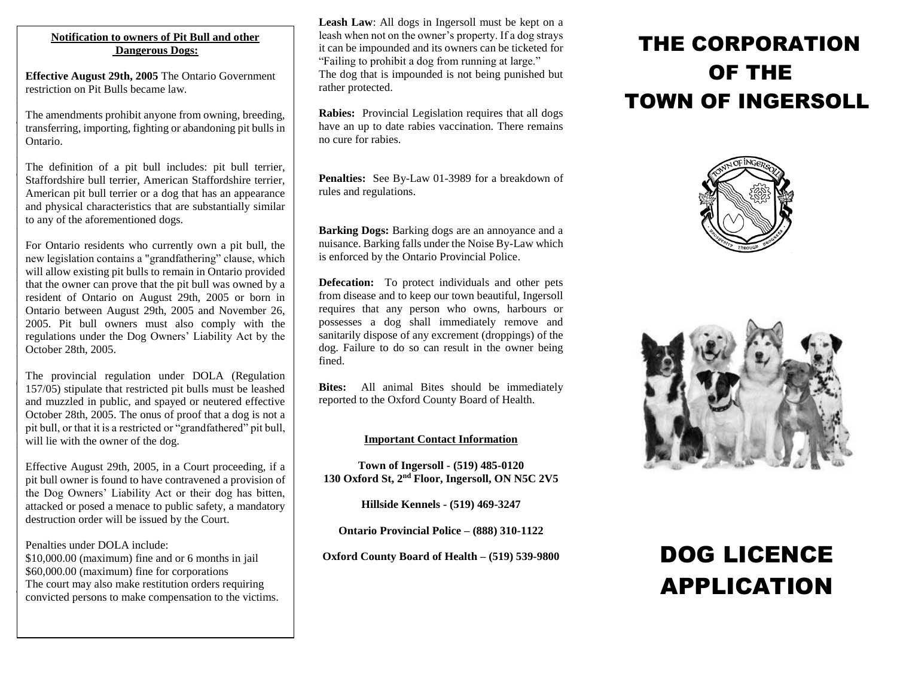### **Notificative Bull and Superiors Dogs: Dangerous Dogs: Notification to owners of Pit Bull and other**

.<br>F

restriction on Pit Bulls became law. restriction on Pit Bulls became law. **Effective August 29th, 2005** The Ontario Government

transferring, importing, fighting or abandoning pit bulls in breeding, transferred or abandoning or abandoning or abandoning  $\overline{a}$  abandoning or abandoning or abandoning or abandoning  $\overline{a}$ pit bulls in Ontario. The amendments prohibit anyone from owning, breeding,

Staffordshire bull terrier, American Staffordshire terrier, American pit bull terrier or a dog that has an appearance and physical characteristics that are substantially similar to any of the aforementioned dogs. to any of the aforementioned dogs. The definition of a pit bull includes: pit bull terrier,

new legislation contains a "grandfathering" clause, which will allow existing pit bulls to remain in Ontario provided that the owner can prove that the pit bull was owned by a resident of Ontario on August 29th, 2005 or born in Ontario between August 29th, 2005 and November 26, 2005. Pit bull owners must also comply with the regulations under the Dog Owners' Liability Act by the  $\bigcirc$  October 28th, 2005. by the October 28th, 2005. For Ontario residents who currently own a pit bull, the

 $157/05$ ) stipulate that restricted pit bulls must be leashed and muzzled in public, and spayed or neutered effective October 28th, 2005. The onus of proof that a dog is not a pit bull, or that it is a restricted or "grandfathered" pit bull, will lie with the owner of the dog. bull, will like will like the owner of the dog. The provincial regulation under DOLA (Regulation

pit bull owner is found to have contravened a provision of the Dog Owners' Liability Act or their dog has bitten, attacked or posed a menace to public safety, a mandatory destruction order will be issued by the Court. destruction order will be issued by the Court. Effective August 29th, 2005, in a Court proceeding, if a

 $\frac{1}{2}$  \$10,000.00 (maximum) fine and or 6 months in jail  $\frac{1}{10}$  \$60,000.00 (maximum) fine for corporations The court may also make restitution orders requiring convicted persons to make compensation to the victims. convicted persons to make compensation to make competitive  $\mathcal{L}$ Penalties under DOLA include:

**Leash Law**: All dogs in Ingersoll must be kept on a leash when not on the owner's property. If a dog strays it can be impounded and its owners can be ticketed for "Failing to prohibit a dog from running at large." The dog that is impounded is not being punished but rather protected.

**Rabies:** Provincial Legislation requires that all dogs have an up to date rabies vaccination. There remains no cure for rabies.

**Penalties:** See By-Law 01-3989 for a breakdown of rules and regulations.

**Barking Dogs:** Barking dogs are an annoyance and a nuisance. Barking falls under the Noise By-Law which is enforced by the Ontario Provincial Police.

**Defecation:** To protect individuals and other pets from disease and to keep our town beautiful, Ingersoll requires that any person who owns, harbours or possesses a dog shall immediately remove and sanitarily dispose of any excrement (droppings) of the dog. Failure to do so can result in the owner being fined.

**Bites:** All animal Bites should be immediately reported to the Oxford County Board of Health.

## **Important Contact Information**

**Town of Ingersoll - (519) 485-0120 130 Oxford St, 2nd Floor, Ingersoll, ON N5C 2V5**

**Hillside Kennels - (519) 469-3247**

**Ontario Provincial Police – (888) 310-1122**

**Oxford County Board of Health – (519) 539-9800**

## THE CORPORATION OF THE TOWN OF INGERSOLL





# DOG LICENCE APPLICATION